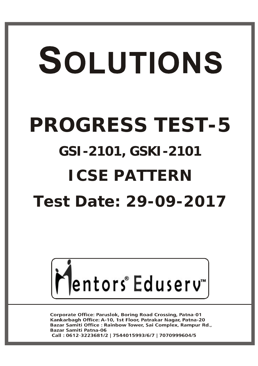# SOLUTIONS **PROGRESS TEST-5 GSI-2101, GSKI-2101ICSE PATTERN Test Date: 29-09-2017**



**Corporate Office: Paruslok, Boring Road Crossing, Patna-01** Kankarbagh Office: A-10, 1st Floor, Patrakar Nagar, Patna-20 Bazar Samiti Office : Rainbow Tower, Sai Complex, Rampur Rd., **Bazar Samiti Patna-06** Call: 0612-3223681/2 | 7544015993/6/7 | 7070999604/5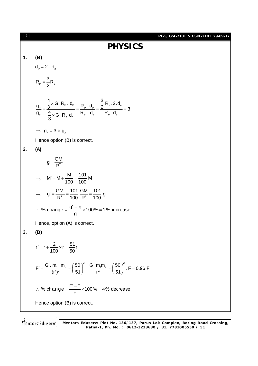

Mentors Eduserv **Mentors Eduserv: Plot No.-136/137, Parus Lok Complex, Boring Road Crossing, Patna-1, Ph. No. : 0612-3223680 / 81, 7781005550 / 51**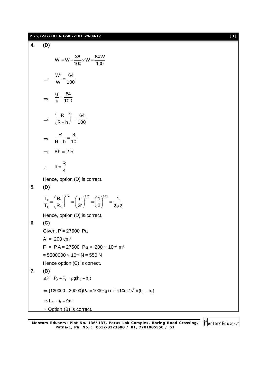#### **PT-5, GSI-2101 & GSKI-2101\_29-09-17** [ **3** ]

**4. (D)**  $W' = W - \frac{36}{188} \times W = \frac{64 W}{188}$ 100 100  $V = W - \frac{W}{100} \times W =$  $\Rightarrow$ W 64 W 100  $\frac{1}{1}$  =  $\Rightarrow$ g' 64 g 100  $\frac{1}{1}$  =  $\Rightarrow$ R  $\big)$ <sup>2</sup> 64  $R + h$  100  $\left(\frac{\mathsf{R}}{\mathsf{R}+\mathsf{h}}\right)^2 =$  $\Rightarrow$ R 8  $R + h$  10  $=$  $\ddot{}$  $\Rightarrow$  8h = 2R  $\mathcal{L}_{\text{c}}$  $h = \frac{R}{I}$ 4  $=$ Hence, option (D) is correct. **5. (D)**  $3/2$   $(1)^{3/2}$   $(1)^{3/2}$  $1 - 1$   $\cdot$  1 2  $\binom{1}{2}$  $T_1$   $(R_1)^{3/2}$   $(r)^{3/2}$   $(1)^{3/2}$  1  $T_2$   $(R_2)$   $(2r)$   $(2)$   $2\sqrt{2}$  $=\left(\frac{R_1}{R_2}\right)^{3/2} = \left(\frac{r}{2r}\right)^{3/2} = \left(\frac{1}{2}\right)^{3/2} = \frac{1}{2}$ Hence, option (D) is correct. **6. (C)** Given, P = 27500 Pa  $A = 200$  cm<sup>2</sup>  $F = P.A = 27500$  Pa  $\times$  200  $\times$  10<sup>-4</sup> m<sup>2</sup>  $= 5500000 \times 10^{-4}$  N = 550 N Hence option (C) is correct. **7. (B)**  $\Delta P = P_2 - P_1 = \rho g(h_2 - h_1)$  $\Rightarrow$   $(120000 - 30000)$ Pa = 1000kg / m<sup>3</sup>  $\times$ 10m / s<sup>2</sup>  $\times$  (h<sub>2</sub> - h<sub>1</sub>)  $\Rightarrow$  h<sub>2</sub> - h<sub>1</sub> = 9m.  $\therefore$  Option (B) is correct.

**Mentors Eduserv: Plot No.-136/137, Parus Lok Complex, Boring Road Crossing, Patna-1, Ph. No. : 0612-3223680 / 81, 7781005550 / 51**

Mentors<sup>®</sup> Eduserv<sup>®</sup>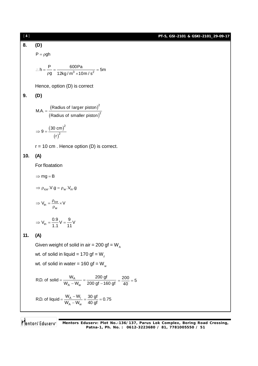**PT-5, GSI-2101 & GSKI-2101\_29-09-17**

8. **(D)**  
\n
$$
P = \rho gh
$$
  
\n $\therefore h = \frac{P}{\rho g} = \frac{600Pa}{12kg/m^3 \times 10m/s^2} = 5m$   
\nHence, option (D) is correct  
\n9. **(D)**  
\n $MA = \frac{(Radius of larger piston)^2}{(Radius of smaller piston)^2}$   
\n $\Rightarrow 9 = \frac{(30 \text{ cm})^2}{(r)^2}$   
\n $r = 10 \text{ cm}$ . Hence option (D) is correct.  
\n10. **(A)**  
\nFor floatation  
\n $\Rightarrow mg = B$   
\n $\Rightarrow \rho_{ice} \cdot V \cdot g = \rho_w \cdot V_{in} \cdot g$   
\n $\Rightarrow V_{in} = \frac{\rho_{ice}}{\rho_w} \times V$   
\n $\Rightarrow V_{in} = \frac{0.9}{r_w} \times \frac{V}{(r - r)^2}$   
\n11. **(A)**  
\nGiven weight of solid in air = 200 gf = W<sub>A</sub>  
\nwt. of solid in liquid = 170 gf = W<sub>W</sub>  
\nwt. of solid in water = 160 gf = W<sub>w</sub>  
\nRLD. of solid =  $\frac{W_A}{W_A - W_w} = \frac{200 \text{ g}}{200 \text{ g}} = \frac{200}{40} = 5$   
\nRLD. of liquid =  $\frac{W_A - W_L}{W_A - W_w} = \frac{30 \text{ g}}{40 \text{ g}} = 0.75$ 

**Mentors Eduserv: Plot No.-136/137, Parus Lok Complex, Boring Road Crossing, Patna-1, Ph. No. : 0612-3223680 / 81, 7781005550 / 51**

## [ **4** ]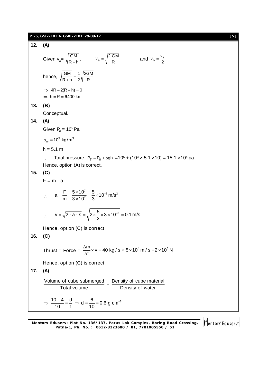|     | PT-5, GSI-2101 & GSKI-2101_29-09-17                                                                                                              | $[5]$ |
|-----|--------------------------------------------------------------------------------------------------------------------------------------------------|-------|
| 12. | (A)                                                                                                                                              |       |
|     | Given $v_{o} = \sqrt{\frac{GM}{R+h}}$ , $v_{e} = \sqrt{\frac{2 GM}{R}}$<br>and $v_0 = \frac{v_e}{2}$                                             |       |
|     | hence, $\sqrt{\frac{GM}{R+h}} = \frac{1}{2} \sqrt{\frac{2GM}{R}}$                                                                                |       |
|     | $\Rightarrow$ 4R – 2(R + h) = 0<br>$\Rightarrow$ h = R = 6400 km                                                                                 |       |
| 13. | (B)                                                                                                                                              |       |
|     | Conceptual.                                                                                                                                      |       |
| 14. | (A)                                                                                                                                              |       |
|     | Given $P_0 = 10^5$ Pa                                                                                                                            |       |
|     | $\rho_w = 10^3 \text{ kg/m}^3$                                                                                                                   |       |
|     | $h = 5.1 m$                                                                                                                                      |       |
| 15. | Total pressure, $P_T = P_0 + \rho gh = 10^5 + (10^3 \times 5.1 \times 10) = 15.1 \times 10^4 \text{ pa}$<br>Hence, option (A) is correct.<br>(C) |       |
|     | $F = m \cdot a$                                                                                                                                  |       |
|     | $\therefore$ a = $\frac{F}{m} = \frac{5 \times 10^{7}}{3 \times 10^{7}} = \frac{5}{3} \times 10^{-3}$ m/s <sup>2</sup>                           |       |
|     | $v = \sqrt{2 \cdot a \cdot s} = \sqrt{2 \times \frac{5}{3}} \times 3 \times 10^{-3} = 0.1 \text{ m/s}$                                           |       |
|     | Hence, option (C) is correct.                                                                                                                    |       |
| 16. | (C)                                                                                                                                              |       |
|     | Thrust = Force = $\frac{\Delta m}{\Delta t}$ × v = 40 kg / s × 5 × 10 <sup>4</sup> m / s = 2 × 10 <sup>6</sup> N                                 |       |
|     | Hence, option (C) is correct.                                                                                                                    |       |
| 17. | (A)                                                                                                                                              |       |
|     | Volume of cube submerged  Density of cube material<br><b>Total volume</b><br>Density of water                                                    |       |
|     | $\Rightarrow \frac{10-4}{10} = \frac{d}{1} \Rightarrow d = \frac{6}{10} = 0.6$ g cm <sup>-3</sup>                                                |       |

**Mentors Eduserv: Plot No.-136/137, Parus Lok Complex, Boring Road Crossing, Patna-1, Ph. No. : 0612-3223680 / 81, 7781005550 / 51**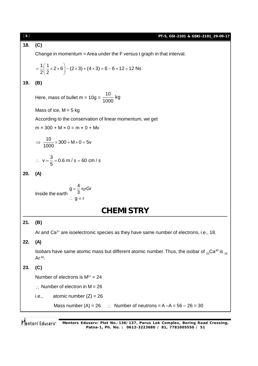| [6] | PT-5, GSI-2101 & GSKI-2101_29-09-17                                                                                                          |  |  |  |  |
|-----|----------------------------------------------------------------------------------------------------------------------------------------------|--|--|--|--|
| 18. | (C)                                                                                                                                          |  |  |  |  |
|     | Change in momentum = Area under the F versus t graph in that interval.                                                                       |  |  |  |  |
|     | $=\frac{1}{2}(\frac{1}{2}\times2\times6)-(2\times3)+(4\times3)=6-6+12=12$ Ns                                                                 |  |  |  |  |
| 19. | (B)                                                                                                                                          |  |  |  |  |
|     | Here, mass of bullet m = $10g = \frac{10}{1000}$ kg                                                                                          |  |  |  |  |
|     | Mass of ice, $M = 5$ kg                                                                                                                      |  |  |  |  |
|     | According to the conservation of linear momentum, we get                                                                                     |  |  |  |  |
|     | $m \times 300 + M \times 0 = m \times 0 + Mv$                                                                                                |  |  |  |  |
|     | $\Rightarrow \frac{10}{1000} \times 300 + M \times 0 = 5v$                                                                                   |  |  |  |  |
|     | ∴ $v = \frac{3}{5} = 0.6$ m / s = 60 cm / s                                                                                                  |  |  |  |  |
| 20. | (A)                                                                                                                                          |  |  |  |  |
|     | $g = \frac{4}{3}\pi \rho Gr$<br>Inside the earth<br>∴ g $\propto$ r                                                                          |  |  |  |  |
|     | <b>CHEMISTRY</b>                                                                                                                             |  |  |  |  |
| 21. | (B)                                                                                                                                          |  |  |  |  |
|     | Ar and Ca <sup>2+</sup> are isoelectronic species as they have same number of electrons, i.e., 18.                                           |  |  |  |  |
| 22. | (A)                                                                                                                                          |  |  |  |  |
|     | Isobars have same atomic mass but different atomic number. Thus, the isobar of ${}_{20}$ Ca <sup>40</sup> is ${}_{18}$<br>Ar <sup>40</sup> . |  |  |  |  |
| 23. | (C)                                                                                                                                          |  |  |  |  |
|     | Number of electrons is $M^{2+} = 24$                                                                                                         |  |  |  |  |
|     | $\therefore$ Number of electron in M = 26                                                                                                    |  |  |  |  |
|     | atomic number $(Z) = 26$<br><i>i.e.,</i>                                                                                                     |  |  |  |  |
|     | Mass number (A) = 26 $\therefore$ Number of neutrons = A -A = 56 - 26 = 30                                                                   |  |  |  |  |
|     |                                                                                                                                              |  |  |  |  |
|     | Mentors Edusery<br>Mentors Eduserv: Plot No.-136/137, Parus Lok Complex, Boring Road Crossing,                                               |  |  |  |  |

**Patna-1, Ph. No. : 0612-3223680 / 81, 7781005550 / 51**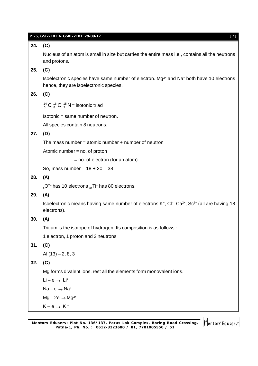|     | PT-5, GSI-2101 & GSKI-2101_29-09-17<br>$[7]$                                                                                                              |  |  |  |  |
|-----|-----------------------------------------------------------------------------------------------------------------------------------------------------------|--|--|--|--|
| 24. | (C)                                                                                                                                                       |  |  |  |  |
|     | Nucleus of an atom is small in size but carries the entire mass i.e., contains all the neutrons<br>and protons.                                           |  |  |  |  |
| 25. | (C)                                                                                                                                                       |  |  |  |  |
|     | Isoelectronic species have same number of electron. Mg <sup>2+</sup> and Na <sup>+</sup> both have 10 electrons<br>hence, they are isoelectronic species. |  |  |  |  |
| 26. | (C)                                                                                                                                                       |  |  |  |  |
|     | $^{14}_{6}$ C, $^{16}_{8}$ O, $^{15}_{7}$ N = isotonic triad                                                                                              |  |  |  |  |
|     | Isotonic = same number of neutron.                                                                                                                        |  |  |  |  |
|     | All species contain 8 neutrons.                                                                                                                           |  |  |  |  |
| 27. | (D)                                                                                                                                                       |  |  |  |  |
|     | The mass number = atomic number $+$ number of neutron                                                                                                     |  |  |  |  |
|     | Atomic number = $no.$ of proton                                                                                                                           |  |  |  |  |
|     | $=$ no. of electron (for an atom)                                                                                                                         |  |  |  |  |
|     | So, mass number = $18 + 20 = 38$                                                                                                                          |  |  |  |  |
| 28. | (A)                                                                                                                                                       |  |  |  |  |
|     | $_{8}$ O <sup>2-</sup> has 10 electrons $_{81}$ Ti <sup>+</sup> has 80 electrons.                                                                         |  |  |  |  |
| 29. | (A)                                                                                                                                                       |  |  |  |  |
|     | Isoelectronic means having same number of electrons $K^+$ , $Cl^-$ , $Ca^{2+}$ , $Sc^{3+}$ (all are having 18<br>electrons).                              |  |  |  |  |
| 30. | (A)                                                                                                                                                       |  |  |  |  |
|     | Tritium is the isotope of hydrogen. Its composition is as follows :                                                                                       |  |  |  |  |
|     | 1 electron, 1 proton and 2 neutrons.                                                                                                                      |  |  |  |  |
| 31. | (C)                                                                                                                                                       |  |  |  |  |
|     | Al $(13) - 2, 8, 3$                                                                                                                                       |  |  |  |  |
| 32. | (C)                                                                                                                                                       |  |  |  |  |
|     | Mg forms divalent ions, rest all the elements form monovalent ions.                                                                                       |  |  |  |  |
|     | $Li - e \rightarrow Li^{+}$                                                                                                                               |  |  |  |  |
|     | $Na - e \rightarrow Na^+$                                                                                                                                 |  |  |  |  |
|     | $Mg-2e \rightarrow Mg^{2+}$                                                                                                                               |  |  |  |  |
|     | $K-e \rightarrow K^+$                                                                                                                                     |  |  |  |  |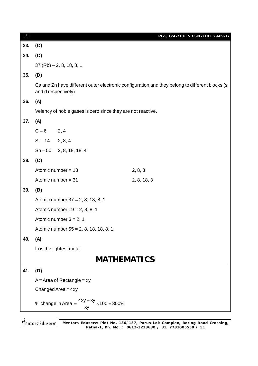| $[ 8 ]$ |                                                                                                                        |                                                             | PT-5, GSI-2101 & GSKI-2101_29-09-17 |  |
|---------|------------------------------------------------------------------------------------------------------------------------|-------------------------------------------------------------|-------------------------------------|--|
| 33.     | (C)                                                                                                                    |                                                             |                                     |  |
| 34.     | (C)                                                                                                                    |                                                             |                                     |  |
|         | $37 (Rb) - 2, 8, 18, 8, 1$                                                                                             |                                                             |                                     |  |
| 35.     | (D)                                                                                                                    |                                                             |                                     |  |
|         | Ca and Zn have different outer electronic configuration and they belong to different blocks (s<br>and d respectively). |                                                             |                                     |  |
| 36.     | (A)                                                                                                                    |                                                             |                                     |  |
|         |                                                                                                                        | Velency of noble gases is zero since they are not reactive. |                                     |  |
| 37.     | (A)                                                                                                                    |                                                             |                                     |  |
|         | $C - 6$ 2, 4                                                                                                           |                                                             |                                     |  |
|         | $Si - 14$ 2, 8, 4                                                                                                      |                                                             |                                     |  |
|         |                                                                                                                        | $Sn - 50$ 2, 8, 18, 18, 4                                   |                                     |  |
| 38.     | (C)                                                                                                                    |                                                             |                                     |  |
|         |                                                                                                                        | Atomic number = $13$                                        | 2, 8, 3                             |  |
|         |                                                                                                                        | Atomic number = $31$                                        | 2, 8, 18, 3                         |  |
| 39.     | (B)                                                                                                                    |                                                             |                                     |  |
|         | Atomic number 37 = 2, 8, 18, 8, 1                                                                                      |                                                             |                                     |  |
|         | Atomic number $19 = 2, 8, 8, 1$                                                                                        |                                                             |                                     |  |
|         | Atomic number $3 = 2$ , 1                                                                                              |                                                             |                                     |  |
|         | Atomic number 55 = 2, 8, 18, 18, 8, 1.                                                                                 |                                                             |                                     |  |
| 40.     | (A)                                                                                                                    |                                                             |                                     |  |
|         |                                                                                                                        | Li is the lightest metal.                                   |                                     |  |
|         | <b>MATHEMATICS</b>                                                                                                     |                                                             |                                     |  |
| 41.     | (D)                                                                                                                    |                                                             |                                     |  |
|         |                                                                                                                        | $A = Area of Rectangle = xy$                                |                                     |  |
|         | Changed Area = $4xy$                                                                                                   |                                                             |                                     |  |
|         | % change in Area = $\frac{4xy - xy}{xy} \times 100 = 300\%$                                                            |                                                             |                                     |  |
|         |                                                                                                                        |                                                             |                                     |  |

**Mentors Eduserv: Plot No.-136/137, Parus Lok Complex, Boring Road Crossing, Patna-1, Ph. No. : 0612-3223680 / 81, 7781005550 / 51**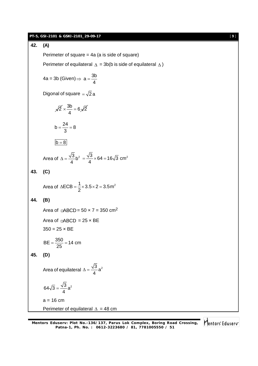#### **PT-5, GSI-2101 & GSKI-2101\_29-09-17** [ **9** ]

## **42. (A)**

Perimeter of square = 4a (a is side of square)

Perimeter of equilateral  $\Delta = 3b(b)$  is side of equilateral  $\Delta$ )

$$
4a = 3b \text{ (Given)} \Rightarrow a = \frac{3b}{4}
$$

Digonal of square  $=\sqrt{2}$  a

$$
\sqrt{2} \times \frac{3b}{4} = 6\sqrt{2}
$$

$$
b=\frac{24}{3}=8
$$

$$
b=8
$$

Area of 
$$
\Delta = \frac{\sqrt{3}}{4} b^2 = \frac{\sqrt{3}}{4} \times 64 = 16\sqrt{3}
$$
 cm<sup>2</sup>

$$
43. (C)
$$

Area of 
$$
\triangle ECB = \frac{1}{2} \times 3.5 \times 2 = 3.5 \text{ m}^2
$$

# **44. (B)**

Area of  $\Box$ ABCD = 50  $\times$  7 = 350 cm<sup>2</sup> Area of  $\Box$ ABCD = 25  $\times$  BE  $350 = 25 \times BE$ 

$$
BE = \frac{350}{25} = 14 \text{ cm}
$$

## **45. (D)**

Area of equilateral 
$$
\Delta = \frac{\sqrt{3}}{4}a^2
$$

$$
64\sqrt{3}=\frac{\sqrt{3}}{4}a^2
$$

 $a = 16$  cm Perimeter of equilateral  $\Delta = 48$  cm

**Mentors Eduserv: Plot No.-136/137, Parus Lok Complex, Boring Road Crossing, Patna-1, Ph. No. : 0612-3223680 / 81, 7781005550 / 51**

Mentors<sup>®</sup> Eduserv<sup>®</sup>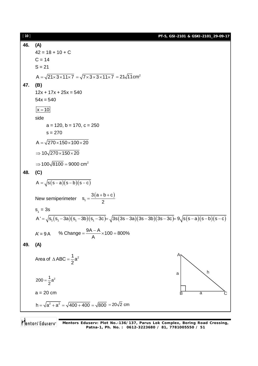**PT-5, GSI-2101 & GSKI-2101\_29-09-17**

**46. (A)**  $42 = 18 + 10 + C$  $C = 14$  $S = 21$  $\mathsf{A} = \sqrt{21{\times}3{\times}11{\times}7} = \sqrt{7{\times}3{\times}3{\times}11{\times}7} = 21\sqrt{11} \mathsf{cm}^2$ **47. (B)**  $12x + 17x + 25x = 540$  $54x = 540$  $x = 10$ side  $a = 120$ ,  $b = 170$ ,  $c = 250$  $s = 270$  $A = \sqrt{270 \times 150 \times 100 \times 20}$  $\Rightarrow$  10 $\sqrt{270 \times 150 \times 20}$  $\Rightarrow$  100 $\sqrt{8100}$  = 9000 cm<sup>2</sup> **48. (C)**  $A = \sqrt{s(s-a)(s-b)(s-c)}$ New semiperimeter  $s_1 = \frac{3(a+b+c)}{2}$  $s_1 = \frac{3(a+b+c)}{2}$ 2  $=\frac{3(a+b+c)}{2}$  $s_1 = 3s$  $A' = \sqrt{s(3s_1 - 3a)(s_1 - 3b)(s_1 - 3c)} = \sqrt{3s(3s - 3a)(3s - 3b)(3s - 3c)} = 9\sqrt{s(s - a)(s - b)(s - c)}$  $A' = 9A$  % Change =  $\frac{9A-A}{A} \times 100 = 800\%$ A  $=\frac{9A-A}{1} \times 100 = 8$ **49. (A)** Area of  $\triangle$  ABC =  $\frac{1}{2}$ a<sup>2</sup> 2  $\triangle$  ABC = -A B a C a a h  $200 = \frac{1}{2}a^2$  $a = 20$  cm  $h = \sqrt{a^2 + a^2} = \sqrt{400 + 400} = \sqrt{800} = 20\sqrt{2}$  cm

[ **10** ]

Mentors Eduserv **Mentors Eduserv: Plot No.-136/137, Parus Lok Complex, Boring Road Crossing, Patna-1, Ph. No. : 0612-3223680 / 81, 7781005550 / 51**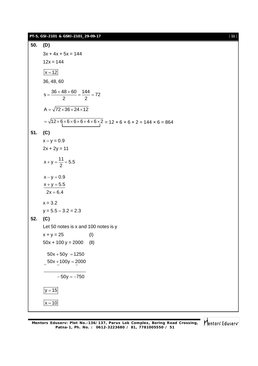**50. (D)**  $3x + 4x + 5x = 144$  $12x = 144$  $x = 12$ 36, 48, 60  $s = \frac{36 + 48 + 60}{2} = \frac{144}{2} = 72$ 2 2  $=\frac{36+48+60}{2}=\frac{144}{2}=7$  $A = \sqrt{72 \times 36 \times 24 \times 12}$  $= \sqrt{12 \times 6 \times 6 \times 6 \times 6 \times 4 \times 6 \times 2} = 12 \times 6 \times 6 \times 2 = 144 \times 6 = 864$ **51. (C)**  $x - y = 0.9$  $2x + 2y = 11$  $x + y = \frac{11}{6} = 5.5$ 2  $+y = \frac{1}{2} = 5$  $x - y = 0.9$  $x + y = 5.5$  $2x = 6.4$  $x = 3.2$  $y = 5.5 - 3.2 = 2.3$ **52. (C)** Let 50 notes is x and 100 notes is y  $x + y = 25$  (I)  $50x + 100y = 2000$  (II)  $50x + 50y = 1250$  $-$ 50x  $+100y = 2000$  $-50$ y =  $-750$  $|y = 15|$  $x = 10$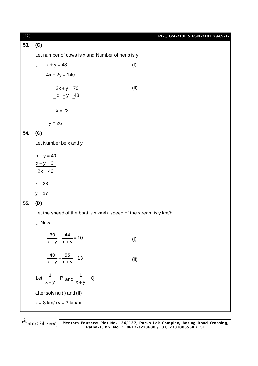| [12] |                                                                   | PT-5, GSI-2101 & GSKI-2101_29-09-17 |  |  |  |  |
|------|-------------------------------------------------------------------|-------------------------------------|--|--|--|--|
| 53.  | (C)                                                               |                                     |  |  |  |  |
|      | Let number of cows is x and Number of hens is y                   |                                     |  |  |  |  |
|      | $x + y = 48$<br>$\mathcal{L}_{\mathcal{C}}$                       | (1)                                 |  |  |  |  |
|      | $4x + 2y = 140$                                                   |                                     |  |  |  |  |
|      | $\Rightarrow$ 2x + y = 70                                         | (II)                                |  |  |  |  |
|      | $x + y = 48$                                                      |                                     |  |  |  |  |
|      | $x = 22$                                                          |                                     |  |  |  |  |
|      | $y = 26$                                                          |                                     |  |  |  |  |
| 54.  | (C)                                                               |                                     |  |  |  |  |
|      | Let Number be x and y                                             |                                     |  |  |  |  |
|      | $x + y = 40$                                                      |                                     |  |  |  |  |
|      | $x - y = 6$                                                       |                                     |  |  |  |  |
|      | $2x = 46$                                                         |                                     |  |  |  |  |
|      | $x = 23$                                                          |                                     |  |  |  |  |
|      | $y = 17$                                                          |                                     |  |  |  |  |
| 55.  | (D)                                                               |                                     |  |  |  |  |
|      | Let the speed of the boat is x km/h speed of the stream is y km/h |                                     |  |  |  |  |
|      | $\therefore$ Now                                                  |                                     |  |  |  |  |
|      | $\frac{30}{x-y} + \frac{44}{x+y} = 10$                            | (1)                                 |  |  |  |  |
|      | $\frac{40}{x-y} + \frac{55}{x+y} = 13$                            | (II)                                |  |  |  |  |
|      | Let $\frac{1}{x-y}$ = P and $\frac{1}{x+y}$ = Q                   |                                     |  |  |  |  |
|      | after solving (I) and (II)                                        |                                     |  |  |  |  |
|      | $x = 8$ km/h $y = 3$ km/hr                                        |                                     |  |  |  |  |
|      |                                                                   |                                     |  |  |  |  |

**Mentors Eduserv: Plot No.-136/137, Parus Lok Complex, Boring Road Crossing, Patna-1, Ph. No. : 0612-3223680 / 81, 7781005550 / 51**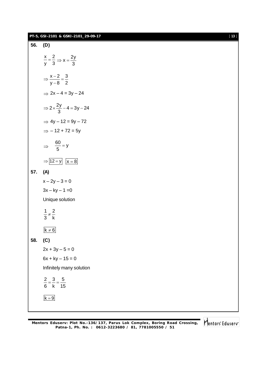|     | PT-5, GSI-2101 & GSKI-2101_29-09-17                      | $[13]$ |
|-----|----------------------------------------------------------|--------|
| 56. | (D)                                                      |        |
|     | $\frac{x}{y} = \frac{2}{3} \Rightarrow x = \frac{2y}{3}$ |        |
|     | $\Rightarrow \frac{x-2}{y-8} = \frac{3}{2}$              |        |
|     | $\Rightarrow$ 2x - 4 = 3y - 24                           |        |
|     | $\Rightarrow 2 \times \frac{2y}{3} - 4 = 3y - 24$        |        |
|     | $\Rightarrow$ 4y - 12 = 9y - 72                          |        |
|     | $\Rightarrow$ - 12 + 72 = 5y                             |        |
|     | $\Rightarrow \frac{60}{5} = y$                           |        |
|     | $\Rightarrow$ 12 = y $x = 8$                             |        |
| 57. | (A)                                                      |        |
|     | $x - 2y - 3 = 0$                                         |        |
|     | $3x - ky - 1 = 0$                                        |        |
|     | Unique solution                                          |        |
|     | $rac{1}{3} \neq \frac{2}{k}$                             |        |
|     |                                                          |        |
|     | $k \neq 6$                                               |        |
| 58. | (C)                                                      |        |
|     | $2x + 3y - 5 = 0$                                        |        |
|     | $6x + ky - 15 = 0$                                       |        |
|     | Infinitely many solution                                 |        |
|     | $\frac{2}{6} = \frac{3}{k} = \frac{5}{15}$               |        |
|     | $k = 9$                                                  |        |
|     |                                                          |        |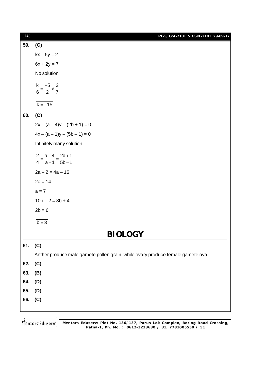| $[14]$ | PT-5, GSI-2101 & GSKI-2101_29-09-17                                             |  |  |  |  |
|--------|---------------------------------------------------------------------------------|--|--|--|--|
| 59.    | (C)                                                                             |  |  |  |  |
|        | $kx - 5y = 2$                                                                   |  |  |  |  |
|        | $6x + 2y = 7$                                                                   |  |  |  |  |
|        | No solution                                                                     |  |  |  |  |
|        | $\frac{k}{6} = \frac{-5}{2} \neq \frac{2}{7}$                                   |  |  |  |  |
|        |                                                                                 |  |  |  |  |
|        | $k = -15$                                                                       |  |  |  |  |
| 60.    | (C)                                                                             |  |  |  |  |
|        | $2x - (a - 4)y - (2b + 1) = 0$                                                  |  |  |  |  |
|        | $4x - (a - 1)y - (5b - 1) = 0$                                                  |  |  |  |  |
|        | Infinitely many solution                                                        |  |  |  |  |
|        | $\frac{2}{4} = \frac{a-4}{a-1} = \frac{2b+1}{5b-1}$                             |  |  |  |  |
|        |                                                                                 |  |  |  |  |
|        | $2a - 2 = 4a - 16$                                                              |  |  |  |  |
|        | $2a = 14$                                                                       |  |  |  |  |
|        | $a = 7$                                                                         |  |  |  |  |
|        | $10b - 2 = 8b + 4$                                                              |  |  |  |  |
|        | $2b = 6$                                                                        |  |  |  |  |
|        | $b = 3$                                                                         |  |  |  |  |
|        | <b>BIOLOGY</b>                                                                  |  |  |  |  |
| 61.    | (C)                                                                             |  |  |  |  |
|        | Anther produce male gamete pollen grain, while ovary produce female gamete ova. |  |  |  |  |
| 62.    | (C)                                                                             |  |  |  |  |
| 63.    | (B)                                                                             |  |  |  |  |
| 64.    | (D)                                                                             |  |  |  |  |
| 65.    | (D)                                                                             |  |  |  |  |
| 66.    | (C)                                                                             |  |  |  |  |
|        |                                                                                 |  |  |  |  |